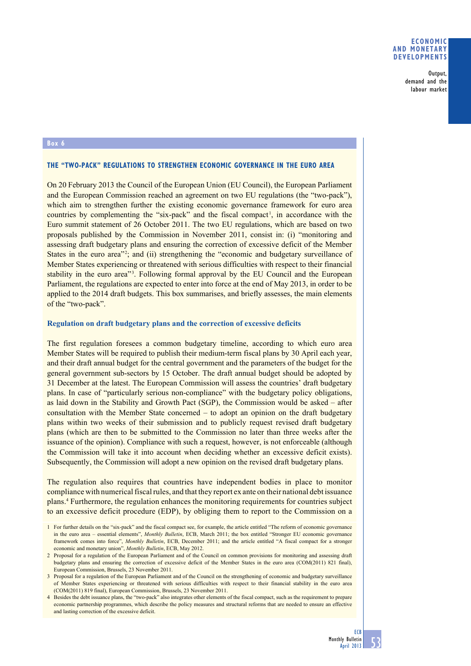## **Economic and monetary developments**

Output, demand and the labour market

## **Box 6**

## **The "two-pack" regulations to strengthen economic governance in the euro area**

On 20 February 2013 the Council of the European Union (EU Council), the European Parliament and the European Commission reached an agreement on two EU regulations (the "two-pack"), which aim to strengthen further the existing economic governance framework for euro area countries by complementing the "six-pack" and the fiscal compact<sup>1</sup>, in accordance with the Euro summit statement of 26 October 2011. The two EU regulations, which are based on two proposals published by the Commission in November 2011, consist in: (i) "monitoring and assessing draft budgetary plans and ensuring the correction of excessive deficit of the Member States in the euro area<sup>22</sup>; and (ii) strengthening the "economic and budgetary surveillance of Member States experiencing or threatened with serious difficulties with respect to their financial stability in the euro area<sup>33</sup>. Following formal approval by the EU Council and the European Parliament, the regulations are expected to enter into force at the end of May 2013, in order to be applied to the 2014 draft budgets. This box summarises, and briefly assesses, the main elements of the "two-pack".

#### **Regulation on draft budgetary plans and the correction of excessive deficits**

The first regulation foresees a common budgetary timeline, according to which euro area Member States will be required to publish their medium-term fiscal plans by 30 April each year, and their draft annual budget for the central government and the parameters of the budget for the general government sub-sectors by 15 October. The draft annual budget should be adopted by 31 December at the latest. The European Commission will assess the countries' draft budgetary plans. In case of "particularly serious non-compliance" with the budgetary policy obligations, as laid down in the Stability and Growth Pact (SGP), the Commission would be asked – after consultation with the Member State concerned – to adopt an opinion on the draft budgetary plans within two weeks of their submission and to publicly request revised draft budgetary plans (which are then to be submitted to the Commission no later than three weeks after the issuance of the opinion). Compliance with such a request, however, is not enforceable (although the Commission will take it into account when deciding whether an excessive deficit exists). Subsequently, the Commission will adopt a new opinion on the revised draft budgetary plans.

The regulation also requires that countries have independent bodies in place to monitor compliance with numerical fiscal rules, and that they report ex ante on their national debt issuance plans.4 Furthermore, the regulation enhances the monitoring requirements for countries subject to an excessive deficit procedure (EDP), by obliging them to report to the Commission on a

<sup>1</sup> For further details on the "six-pack" and the fiscal compact see, for example, the article entitled "The reform of economic governance in the euro area – essential elements", *Monthly Bulletin*, ECB, March 2011; the box entitled "Stronger EU economic governance framework comes into force", *Monthly Bulletin*, ECB, December 2011; and the article entitled "A fiscal compact for a stronger economic and monetary union", *Monthly Bulletin*, ECB, May 2012.

<sup>2</sup> Proposal for a regulation of the European Parliament and of the Council on common provisions for monitoring and assessing draft budgetary plans and ensuring the correction of excessive deficit of the Member States in the euro area (COM(2011) 821 final), European Commission, Brussels, 23 November 2011.

<sup>3</sup> Proposal for a regulation of the European Parliament and of the Council on the strengthening of economic and budgetary surveillance of Member States experiencing or threatened with serious difficulties with respect to their financial stability in the euro area (COM(2011) 819 final), European Commission, Brussels, 23 November 2011.

<sup>4</sup> Besides the debt issuance plans, the "two-pack" also integrates other elements of the fiscal compact, such as the requirement to prepare economic partnership programmes, which describe the policy measures and structural reforms that are needed to ensure an effective and lasting correction of the excessive deficit.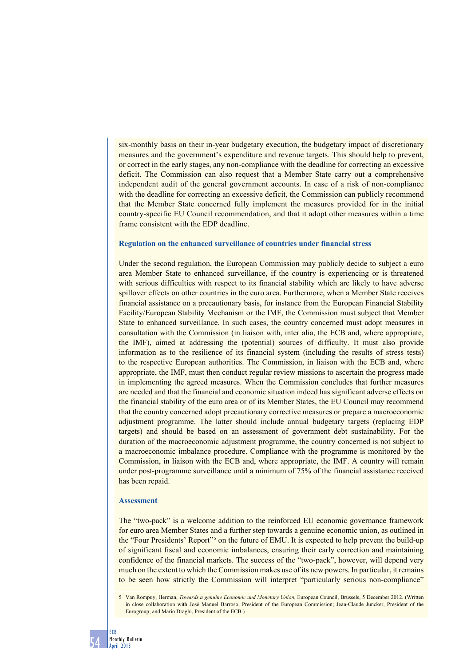six-monthly basis on their in-year budgetary execution, the budgetary impact of discretionary measures and the government's expenditure and revenue targets. This should help to prevent, or correct in the early stages, any non-compliance with the deadline for correcting an excessive deficit. The Commission can also request that a Member State carry out a comprehensive independent audit of the general government accounts. In case of a risk of non-compliance with the deadline for correcting an excessive deficit, the Commission can publicly recommend that the Member State concerned fully implement the measures provided for in the initial country-specific EU Council recommendation, and that it adopt other measures within a time frame consistent with the EDP deadline.

## **Regulation on the enhanced surveillance of countries under financial stress**

Under the second regulation, the European Commission may publicly decide to subject a euro area Member State to enhanced surveillance, if the country is experiencing or is threatened with serious difficulties with respect to its financial stability which are likely to have adverse spillover effects on other countries in the euro area. Furthermore, when a Member State receives financial assistance on a precautionary basis, for instance from the European Financial Stability Facility/European Stability Mechanism or the IMF, the Commission must subject that Member State to enhanced surveillance. In such cases, the country concerned must adopt measures in consultation with the Commission (in liaison with, inter alia, the ECB and, where appropriate, the IMF), aimed at addressing the (potential) sources of difficulty. It must also provide information as to the resilience of its financial system (including the results of stress tests) to the respective European authorities. The Commission, in liaison with the ECB and, where appropriate, the IMF, must then conduct regular review missions to ascertain the progress made in implementing the agreed measures. When the Commission concludes that further measures are needed and that the financial and economic situation indeed has significant adverse effects on the financial stability of the euro area or of its Member States, the EU Council may recommend that the country concerned adopt precautionary corrective measures or prepare a macroeconomic adjustment programme. The latter should include annual budgetary targets (replacing EDP targets) and should be based on an assessment of government debt sustainability. For the duration of the macroeconomic adjustment programme, the country concerned is not subject to a macroeconomic imbalance procedure. Compliance with the programme is monitored by the Commission, in liaison with the ECB and, where appropriate, the IMF. A country will remain under post-programme surveillance until a minimum of 75% of the financial assistance received has been repaid.

#### **Assessment**

The "two-pack" is a welcome addition to the reinforced EU economic governance framework for euro area Member States and a further step towards a genuine economic union, as outlined in the "Four Presidents' Report"<sup>5</sup> on the future of EMU. It is expected to help prevent the build-up of significant fiscal and economic imbalances, ensuring their early correction and maintaining confidence of the financial markets. The success of the "two-pack", however, will depend very much on the extent to which the Commission makes use of its new powers. In particular, it remains to be seen how strictly the Commission will interpret "particularly serious non-compliance"

<sup>5</sup> Van Rompuy, Herman, *Towards a genuine Economic and Monetary Union*, European Council, Brussels, 5 December 2012. (Written in close collaboration with José Manuel Barroso, President of the European Commission; Jean-Claude Juncker, President of the Eurogroup; and Mario Draghi, President of the ECB.)